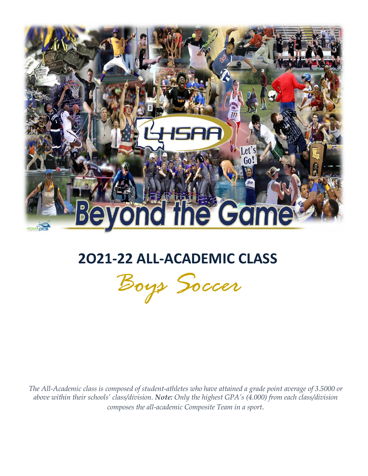

## **2O21-22 ALL-ACADEMIC CLASS**



 *The All-Academic class is composed of student-athletes who have attained a grade point average of 3.5000 or above within their schools' class/division. Note: Only the highest GPA's (4.000) from each class/division composes the all-academic Composite Team in a sport.*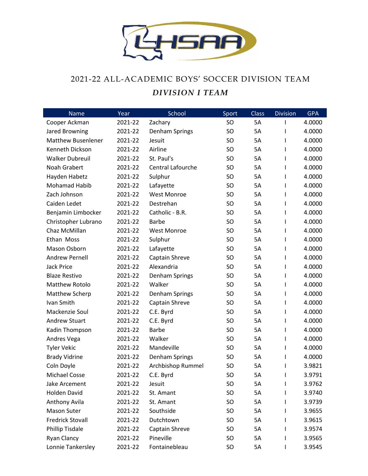

## 2021-22 ALL-ACADEMIC BOYS' SOCCER DIVISION TEAM *DIVISION I TEAM*

| <b>Name</b>               | Year    | School             | Sport     | Class | <b>Division</b> | <b>GPA</b> |
|---------------------------|---------|--------------------|-----------|-------|-----------------|------------|
| Cooper Ackman             | 2021-22 | Zachary            | <b>SO</b> | 5A    |                 | 4.0000     |
| Jared Browning            | 2021-22 | Denham Springs     | SO        | 5A    |                 | 4.0000     |
| <b>Matthew Busenlener</b> | 2021-22 | Jesuit             | <b>SO</b> | 5A    | L               | 4.0000     |
| Kenneth Dickson           | 2021-22 | Airline            | SO        | 5A    |                 | 4.0000     |
| <b>Walker Dubreuil</b>    | 2021-22 | St. Paul's         | <b>SO</b> | 5A    |                 | 4.0000     |
| Noah Grabert              | 2021-22 | Central Lafourche  | SO        | 5A    |                 | 4.0000     |
| Hayden Habetz             | 2021-22 | Sulphur            | <b>SO</b> | 5A    | L               | 4.0000     |
| Mohamad Habib             | 2021-22 | Lafayette          | SO        | 5A    |                 | 4.0000     |
| Zach Johnson              | 2021-22 | <b>West Monroe</b> | <b>SO</b> | 5A    |                 | 4.0000     |
| Caiden Ledet              | 2021-22 | Destrehan          | <b>SO</b> | 5A    |                 | 4.0000     |
| Benjamin Limbocker        | 2021-22 | Catholic - B.R.    | <b>SO</b> | 5A    |                 | 4.0000     |
| Christopher Lubrano       | 2021-22 | <b>Barbe</b>       | SO        | 5A    |                 | 4.0000     |
| Chaz McMillan             | 2021-22 | <b>West Monroe</b> | <b>SO</b> | 5A    |                 | 4.0000     |
| Ethan Moss                | 2021-22 | Sulphur            | <b>SO</b> | 5A    |                 | 4.0000     |
| Mason Osborn              | 2021-22 | Lafayette          | <b>SO</b> | 5A    |                 | 4.0000     |
| <b>Andrew Pernell</b>     | 2021-22 | Captain Shreve     | SO        | 5A    |                 | 4.0000     |
| <b>Jack Price</b>         | 2021-22 | Alexandria         | <b>SO</b> | 5A    |                 | 4.0000     |
| <b>Blaze Restivo</b>      | 2021-22 | Denham Springs     | <b>SO</b> | 5A    |                 | 4.0000     |
| Matthew Rotolo            | 2021-22 | Walker             | <b>SO</b> | 5A    |                 | 4.0000     |
| Matthew Scherp            | 2021-22 | Denham Springs     | SO        | 5A    |                 | 4.0000     |
| Ivan Smith                | 2021-22 | Captain Shreve     | <b>SO</b> | 5A    |                 | 4.0000     |
| Mackenzie Soul            | 2021-22 | C.E. Byrd          | <b>SO</b> | 5A    |                 | 4.0000     |
| <b>Andrew Stuart</b>      | 2021-22 | C.E. Byrd          | <b>SO</b> | 5A    |                 | 4.0000     |
| Kadin Thompson            | 2021-22 | <b>Barbe</b>       | SO        | 5A    |                 | 4.0000     |
| Andres Vega               | 2021-22 | Walker             | <b>SO</b> | 5A    | L               | 4.0000     |
| <b>Tyler Vekic</b>        | 2021-22 | Mandeville         | <b>SO</b> | 5A    |                 | 4.0000     |
| <b>Brady Vidrine</b>      | 2021-22 | Denham Springs     | <b>SO</b> | 5A    |                 | 4.0000     |
| Coln Doyle                | 2021-22 | Archbishop Rummel  | <b>SO</b> | 5A    |                 | 3.9821     |
| <b>Michael Cosse</b>      | 2021-22 | C.E. Byrd          | SO        | 5A    |                 | 3.9791     |
| Jake Arcement             | 2021-22 | Jesuit             | <b>SO</b> | 5A    |                 | 3.9762     |
| <b>Holden David</b>       | 2021-22 | St. Amant          | SO.       | 5A    |                 | 3.9740     |
| Anthony Avila             | 2021-22 | St. Amant          | <b>SO</b> | 5A    |                 | 3.9739     |
| <b>Mason Suter</b>        | 2021-22 | Southside          | <b>SO</b> | 5A    |                 | 3.9655     |
| <b>Fredrick Stovall</b>   | 2021-22 | Dutchtown          | SO.       | 5A    |                 | 3.9615     |
| <b>Phillip Tisdale</b>    | 2021-22 | Captain Shreve     | SO        | 5A    |                 | 3.9574     |
| <b>Ryan Clancy</b>        | 2021-22 | Pineville          | <b>SO</b> | 5A    |                 | 3.9565     |
| Lonnie Tankersley         | 2021-22 | Fontainebleau      | SO        | 5A    |                 | 3.9545     |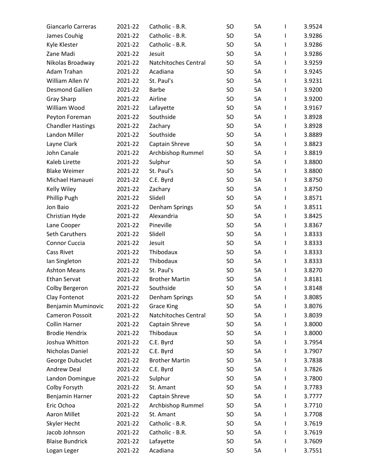| Giancarlo Carreras        | 2021-22 | Catholic - B.R.       | <b>SO</b> | 5A | $\mathsf{I}$ | 3.9524 |
|---------------------------|---------|-----------------------|-----------|----|--------------|--------|
| James Couhig              | 2021-22 | Catholic - B.R.       | SO        | 5A | I            | 3.9286 |
| Kyle Klester              | 2021-22 | Catholic - B.R.       | <b>SO</b> | 5A | I            | 3.9286 |
| Zane Madi                 | 2021-22 | Jesuit                | SO        | 5A | L            | 3.9286 |
| Nikolas Broadway          | 2021-22 | Natchitoches Central  | <b>SO</b> | 5A | I            | 3.9259 |
| Adam Trahan               | 2021-22 | Acadiana              | SO        | 5A |              | 3.9245 |
| William Allen IV          | 2021-22 | St. Paul's            | <b>SO</b> | 5A | I            | 3.9231 |
| <b>Desmond Gallien</b>    | 2021-22 | <b>Barbe</b>          | SO        | 5A | I            | 3.9200 |
| <b>Gray Sharp</b>         | 2021-22 | Airline               | <b>SO</b> | 5A | I            | 3.9200 |
| William Wood              | 2021-22 | Lafayette             | SO        | 5A |              | 3.9167 |
| Peyton Foreman            | 2021-22 | Southside             | <b>SO</b> | 5A | I            | 3.8928 |
| <b>Chandler Hastings</b>  | 2021-22 | Zachary               | SO        | 5A | I            | 3.8928 |
| Landon Miller             | 2021-22 | Southside             | <b>SO</b> | 5A | I            | 3.8889 |
| Layne Clark               | 2021-22 | Captain Shreve        | SO        | 5A |              | 3.8823 |
| John Canale               | 2021-22 | Archbishop Rummel     | <b>SO</b> | 5A | I            | 3.8819 |
| Kaleb Lirette             | 2021-22 | Sulphur               | SO        | 5A | I            | 3.8800 |
| <b>Blake Weimer</b>       | 2021-22 | St. Paul's            | <b>SO</b> | 5A | I            | 3.8800 |
| Michael Hamauei           | 2021-22 | C.E. Byrd             | <b>SO</b> | 5A |              | 3.8750 |
| Kelly Wiley               | 2021-22 | Zachary               | <b>SO</b> | 5A | I            | 3.8750 |
| Phillip Pugh              | 2021-22 | Slidell               | SO        | 5A | I            | 3.8571 |
| Jon Baio                  | 2021-22 | Denham Springs        | <b>SO</b> | 5A | I            | 3.8511 |
| Christian Hyde            | 2021-22 | Alexandria            | <b>SO</b> | 5A |              | 3.8425 |
| Lane Cooper               | 2021-22 | Pineville             | <b>SO</b> | 5A | I            | 3.8367 |
| Seth Caruthers            | 2021-22 | Slidell               | SO        | 5A | I            | 3.8333 |
| <b>Connor Cuccia</b>      | 2021-22 | Jesuit                | <b>SO</b> | 5A | I            | 3.8333 |
| <b>Cass Rivet</b>         | 2021-22 | Thibodaux             | <b>SO</b> | 5A |              | 3.8333 |
| Ian Singleton             | 2021-22 | Thibodaux             | <b>SO</b> | 5A | I            | 3.8333 |
| <b>Ashton Means</b>       | 2021-22 | St. Paul's            | <b>SO</b> | 5A | I            | 3.8270 |
| Ethan Servat              | 2021-22 | <b>Brother Martin</b> | <b>SO</b> | 5A | I            | 3.8181 |
| Colby Bergeron            | 2021-22 | Southside             | <b>SO</b> | 5A | I            | 3.8148 |
| Clay Fontenot             | 2021-22 | Denham Springs        | SO        | 5A | I            | 3.8085 |
| <b>Benjamin Muminovic</b> | 2021-22 | <b>Grace King</b>     | SO        | 5A |              | 3.8076 |
| <b>Cameron Possoit</b>    | 2021-22 | Natchitoches Central  | <b>SO</b> | 5A | I            | 3.8039 |
| <b>Collin Harner</b>      | 2021-22 | Captain Shreve        | <b>SO</b> | 5A | L            | 3.8000 |
| <b>Brodie Hendrix</b>     | 2021-22 | Thibodaux             | <b>SO</b> | 5A | L            | 3.8000 |
| Joshua Whitton            | 2021-22 | C.E. Byrd             | <b>SO</b> | 5A |              | 3.7954 |
| Nicholas Daniel           | 2021-22 | C.E. Byrd             | <b>SO</b> | 5A | I            | 3.7907 |
| George Dubuclet           | 2021-22 | <b>Brother Martin</b> | <b>SO</b> | 5A | L            | 3.7838 |
| <b>Andrew Deal</b>        | 2021-22 | C.E. Byrd             | SO        | 5A | L            | 3.7826 |
| Landon Domingue           | 2021-22 | Sulphur               | SO        | 5A |              | 3.7800 |
| Colby Forsyth             | 2021-22 | St. Amant             | SO        | 5A | I            | 3.7783 |
| Benjamin Harner           | 2021-22 | Captain Shreve        | SO        | 5A | L            | 3.7777 |
| Eric Ochoa                | 2021-22 | Archbishop Rummel     | SO        | 5A | I            | 3.7710 |
| Aaron Millet              | 2021-22 | St. Amant             | SO        | 5A |              | 3.7708 |
| Skyler Hecht              | 2021-22 | Catholic - B.R.       | SO        | 5A | I            | 3.7619 |
| Jacob Johnson             | 2021-22 | Catholic - B.R.       | SO        | 5A | L            | 3.7619 |
| <b>Blaise Bundrick</b>    | 2021-22 | Lafayette             | SO        | 5A |              | 3.7609 |
| Logan Leger               | 2021-22 | Acadiana              | SO        | 5A |              | 3.7551 |
|                           |         |                       |           |    |              |        |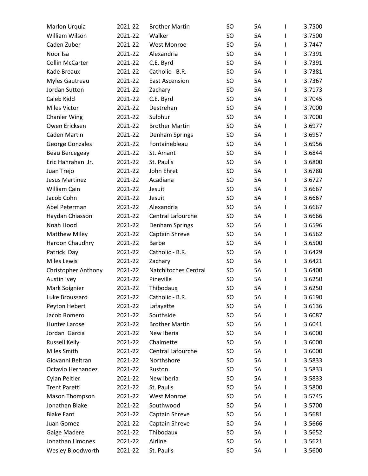| Marlon Urquia              | 2021-22 | <b>Brother Martin</b> | <b>SO</b> | 5A        | I | 3.7500 |
|----------------------------|---------|-----------------------|-----------|-----------|---|--------|
| William Wilson             | 2021-22 | Walker                | <b>SO</b> | <b>5A</b> | I | 3.7500 |
| Caden Zuber                | 2021-22 | <b>West Monroe</b>    | <b>SO</b> | 5A        | I | 3.7447 |
| Noor Isa                   | 2021-22 | Alexandria            | <b>SO</b> | 5A        | T | 3.7391 |
| <b>Collin McCarter</b>     | 2021-22 | C.E. Byrd             | <b>SO</b> | 5A        | T | 3.7391 |
| Kade Breaux                | 2021-22 | Catholic - B.R.       | <b>SO</b> | 5A        | I | 3.7381 |
| Myles Gautreau             | 2021-22 | <b>East Ascension</b> | <b>SO</b> | 5A        | I | 3.7367 |
| Jordan Sutton              | 2021-22 | Zachary               | <b>SO</b> | 5A        | T | 3.7173 |
| Caleb Kidd                 | 2021-22 | C.E. Byrd             | <b>SO</b> | 5A        | I | 3.7045 |
| Miles Victor               | 2021-22 | Destrehan             | <b>SO</b> | 5A        | I | 3.7000 |
| <b>Chanler Wing</b>        | 2021-22 | Sulphur               | <b>SO</b> | 5A        | T | 3.7000 |
| Owen Ericksen              | 2021-22 | <b>Brother Martin</b> | <b>SO</b> | 5A        | I | 3.6977 |
| Caden Martin               | 2021-22 | Denham Springs        | <b>SO</b> | 5A        | I | 3.6957 |
| George Gonzales            | 2021-22 | Fontainebleau         | <b>SO</b> | <b>5A</b> | I | 3.6956 |
| Beau Bercegeay             | 2021-22 | St. Amant             | <b>SO</b> | 5A        | T | 3.6844 |
| Eric Hanrahan Jr.          | 2021-22 | St. Paul's            | <b>SO</b> | 5A        | I | 3.6800 |
| Juan Trejo                 | 2021-22 | John Ehret            | <b>SO</b> | 5A        | I | 3.6780 |
| Jesus Martinez             | 2021-22 | Acadiana              | <b>SO</b> | <b>5A</b> | I | 3.6727 |
| William Cain               | 2021-22 | Jesuit                | <b>SO</b> | 5A        | I | 3.6667 |
| Jacob Cohn                 | 2021-22 | Jesuit                | <b>SO</b> | 5A        | T | 3.6667 |
| Abel Peterman              | 2021-22 | Alexandria            | <b>SO</b> | 5A        | T | 3.6667 |
| Haydan Chiasson            | 2021-22 | Central Lafourche     | <b>SO</b> | 5A        | I | 3.6666 |
| Noah Hood                  | 2021-22 | Denham Springs        | <b>SO</b> | 5A        | I | 3.6596 |
| <b>Matthew Miley</b>       | 2021-22 | Captain Shreve        | <b>SO</b> | 5A        | T | 3.6562 |
| Haroon Chaudhry            | 2021-22 | <b>Barbe</b>          | <b>SO</b> | 5A        | I | 3.6500 |
| Patrick Day                | 2021-22 | Catholic - B.R.       | <b>SO</b> | 5A        | I | 3.6429 |
| <b>Miles Lewis</b>         | 2021-22 | Zachary               | <b>SO</b> | 5A        | T | 3.6421 |
| <b>Christopher Anthony</b> | 2021-22 | Natchitoches Central  | <b>SO</b> | 5A        | T | 3.6400 |
| Austin Ivey                | 2021-22 | Pineville             | <b>SO</b> | 5A        | I | 3.6250 |
| Mark Soignier              | 2021-22 | Thibodaux             | SO        | 5A        | I | 3.6250 |
| Luke Broussard             | 2021-22 | Catholic - B.R.       | <b>SO</b> | 5A        | I | 3.6190 |
| Peyton Hebert              | 2021-22 | Lafayette             | SO        | 5A        | I | 3.6136 |
| Jacob Romero               | 2021-22 | Southside             | <b>SO</b> | 5A        | I | 3.6087 |
| Hunter Larose              | 2021-22 | <b>Brother Martin</b> | <b>SO</b> | 5A        | L | 3.6041 |
| Jordan Garcia              | 2021-22 | New Iberia            | <b>SO</b> | 5A        | L | 3.6000 |
| <b>Russell Kelly</b>       | 2021-22 | Chalmette             | <b>SO</b> | 5A        | L | 3.6000 |
| Miles Smith                | 2021-22 | Central Lafourche     | <b>SO</b> | 5A        | I | 3.6000 |
| Giovanni Beltran           | 2021-22 | Northshore            | <b>SO</b> | 5A        | I | 3.5833 |
| Octavio Hernandez          | 2021-22 | Ruston                | <b>SO</b> | 5A        | L | 3.5833 |
| Cylan Peltier              | 2021-22 | New Iberia            | <b>SO</b> | 5A        | L | 3.5833 |
| <b>Trent Paretti</b>       | 2021-22 | St. Paul's            | <b>SO</b> | 5A        | L | 3.5800 |
| Mason Thompson             | 2021-22 | <b>West Monroe</b>    | <b>SO</b> | 5A        | I | 3.5745 |
| Jonathan Blake             | 2021-22 | Southwood             | <b>SO</b> | 5A        | L | 3.5700 |
| <b>Blake Fant</b>          | 2021-22 | Captain Shreve        | <b>SO</b> | 5A        | I | 3.5681 |
| Juan Gomez                 | 2021-22 | Captain Shreve        | <b>SO</b> | 5A        | I | 3.5666 |
| Gaige Madere               | 2021-22 | Thibodaux             | <b>SO</b> | 5A        | I | 3.5652 |
| Jonathan Limones           | 2021-22 | Airline               | <b>SO</b> | 5A        | I | 3.5621 |
| Wesley Bloodworth          | 2021-22 | St. Paul's            | SO        | 5A        | I | 3.5600 |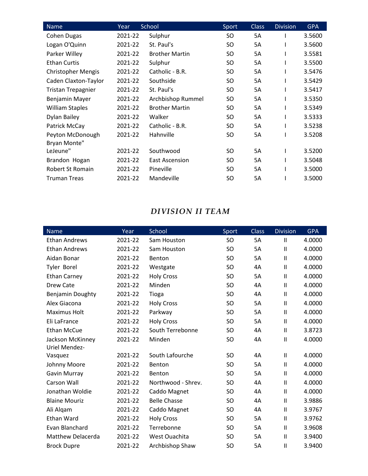| <b>Name</b>               | Year    | School                | Sport     | <b>Class</b> | <b>Division</b> | <b>GPA</b> |
|---------------------------|---------|-----------------------|-----------|--------------|-----------------|------------|
| Cohen Dugas               | 2021-22 | Sulphur               | SO.       | 5A           |                 | 3.5600     |
| Logan O'Quinn             | 2021-22 | St. Paul's            | SO        | 5A           |                 | 3.5600     |
| Parker Willey             | 2021-22 | <b>Brother Martin</b> | <b>SO</b> | 5A           |                 | 3.5581     |
| <b>Ethan Curtis</b>       | 2021-22 | Sulphur               | SO.       | 5A           | ı               | 3.5500     |
| <b>Christopher Mengis</b> | 2021-22 | Catholic - B.R.       | SO        | 5A           |                 | 3.5476     |
| Caden Claxton-Taylor      | 2021-22 | Southside             | <b>SO</b> | 5A           |                 | 3.5429     |
| <b>Tristan Trepagnier</b> | 2021-22 | St. Paul's            | SO.       | 5A           |                 | 3.5417     |
| Benjamin Mayer            | 2021-22 | Archbishop Rummel     | SO.       | 5A           |                 | 3.5350     |
| <b>William Staples</b>    | 2021-22 | <b>Brother Martin</b> | <b>SO</b> | 5A           | I               | 3.5349     |
| Dylan Bailey              | 2021-22 | Walker                | SO.       | 5A           | ı               | 3.5333     |
| Patrick McCay             | 2021-22 | Catholic - B.R.       | SO.       | 5A           | I               | 3.5238     |
| Peyton McDonough          | 2021-22 | Hahnville             | SO        | 5A           | ı               | 3.5208     |
| Bryan Monte"              |         |                       |           |              |                 |            |
| LeJeune"                  | 2021-22 | Southwood             | SO.       | 5A           | I               | 3.5200     |
| Brandon Hogan             | 2021-22 | <b>East Ascension</b> | SO.       | 5A           | ı               | 3.5048     |
| Robert St Romain          | 2021-22 | Pineville             | SO.       | 5A           |                 | 3.5000     |
| <b>Truman Treas</b>       | 2021-22 | Mandeville            | <b>SO</b> | 5A           |                 | 3.5000     |

## *DIVISION II TEAM*

| <b>Name</b>              | Year    | School              | Sport     | <b>Class</b> | <b>Division</b> | <b>GPA</b> |
|--------------------------|---------|---------------------|-----------|--------------|-----------------|------------|
| <b>Ethan Andrews</b>     | 2021-22 | Sam Houston         | SO        | 5A           | $\mathbf{H}$    | 4.0000     |
| <b>Ethan Andrews</b>     | 2021-22 | Sam Houston         | <b>SO</b> | 5A           | $\mathsf{II}$   | 4.0000     |
| Aidan Bonar              | 2021-22 | Benton              | <b>SO</b> | 5A           | $\mathsf{II}$   | 4.0000     |
| Tyler Borel              | 2021-22 | Westgate            | <b>SO</b> | 4A           | $\mathsf{II}$   | 4.0000     |
| <b>Ethan Carney</b>      | 2021-22 | <b>Holy Cross</b>   | <b>SO</b> | 5A           | $\mathsf{II}$   | 4.0000     |
| Drew Cate                | 2021-22 | Minden              | <b>SO</b> | 4A           | $\mathsf{II}$   | 4.0000     |
| <b>Benjamin Doughty</b>  | 2021-22 | Tioga               | <b>SO</b> | 4A           | $\mathsf{II}$   | 4.0000     |
| Alex Giacona             | 2021-22 | <b>Holy Cross</b>   | <b>SO</b> | 5A           | $\mathsf{II}$   | 4.0000     |
| Maximus Holt             | 2021-22 | Parkway             | <b>SO</b> | 5A           | $\mathsf{II}$   | 4.0000     |
| Eli LaFrance             | 2021-22 | <b>Holy Cross</b>   | <b>SO</b> | 5A           | $\mathsf{II}$   | 4.0000     |
| <b>Ethan McCue</b>       | 2021-22 | South Terrebonne    | <b>SO</b> | 4A           | $\mathsf{II}$   | 3.8723     |
| Jackson McKinney         | 2021-22 | Minden              | <b>SO</b> | 4A           | $\mathsf{II}$   | 4.0000     |
| Uriel Mendez-            |         |                     |           |              |                 |            |
| Vasquez                  | 2021-22 | South Lafourche     | <b>SO</b> | 4A           | Ш               | 4.0000     |
| Johnny Moore             | 2021-22 | Benton              | <b>SO</b> | <b>5A</b>    | Ш               | 4.0000     |
| Gavin Murray             | 2021-22 | Benton              | SO        | 5A           | $\mathsf{II}$   | 4.0000     |
| <b>Carson Wall</b>       | 2021-22 | Northwood - Shrev.  | SO        | 4A           | $\mathsf{II}$   | 4.0000     |
| Jonathan Woldie          | 2021-22 | Caddo Magnet        | <b>SO</b> | 4A           | $\mathsf{II}$   | 4.0000     |
| <b>Blaine Mouriz</b>     | 2021-22 | <b>Belle Chasse</b> | SO.       | 4A           | $\mathsf{II}$   | 3.9886     |
| Ali Alqam                | 2021-22 | Caddo Magnet        | <b>SO</b> | 4A           | $\mathsf{II}$   | 3.9767     |
| <b>Ethan Ward</b>        | 2021-22 | <b>Holy Cross</b>   | <b>SO</b> | <b>5A</b>    | $\mathsf{II}$   | 3.9762     |
| Evan Blanchard           | 2021-22 | Terrebonne          | <b>SO</b> | 5A           | $\mathsf{II}$   | 3.9608     |
| <b>Matthew Delacerda</b> | 2021-22 | West Ouachita       | <b>SO</b> | 5A           | $\mathsf{II}$   | 3.9400     |
| <b>Brock Dupre</b>       | 2021-22 | Archbishop Shaw     | <b>SO</b> | 5A           | Ш               | 3.9400     |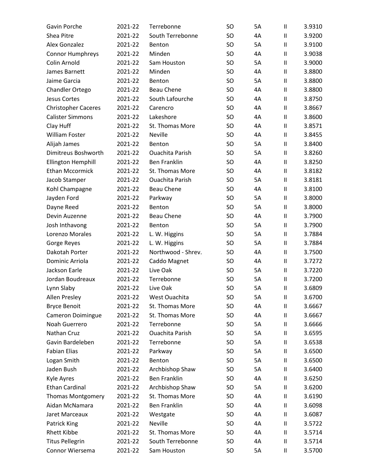| Gavin Porche               | 2021-22 | Terrebonne             | <b>SO</b> | 5A        | $\mathsf{I}$           | 3.9310 |
|----------------------------|---------|------------------------|-----------|-----------|------------------------|--------|
| Shea Pitre                 | 2021-22 | South Terrebonne       | SO        | 4A        | $\mathsf{I}$           | 3.9200 |
| Alex Gonzalez              | 2021-22 | Benton                 | <b>SO</b> | <b>5A</b> | $\mathsf{I}\mathsf{I}$ | 3.9100 |
| <b>Connor Humphreys</b>    | 2021-22 | Minden                 | SO        | 4A        | $\mathbf{I}$           | 3.9038 |
| Colin Arnold               | 2021-22 | Sam Houston            | <b>SO</b> | 5A        | $\mathbf{I}$           | 3.9000 |
| James Barnett              | 2021-22 | Minden                 | SO        | 4A        | $\mathbf{I}$           | 3.8800 |
| Jaime Garcia               | 2021-22 | Benton                 | <b>SO</b> | <b>5A</b> | $\mathsf{I}\mathsf{I}$ | 3.8800 |
| Chandler Ortego            | 2021-22 | <b>Beau Chene</b>      | SO        | 4A        | $\mathbf{I}$           | 3.8800 |
| Jesus Cortes               | 2021-22 | South Lafourche        | <b>SO</b> | 4A        | $\mathsf{I}\mathsf{I}$ | 3.8750 |
| <b>Christopher Caceres</b> | 2021-22 | Carencro               | SO        | 4A        | $\mathsf{I}$           | 3.8667 |
| <b>Calister Simmons</b>    | 2021-22 | Lakeshore              | <b>SO</b> | 4A        | $\mathsf{I}\mathsf{I}$ | 3.8600 |
| Clay Huff                  | 2021-22 | St. Thomas More        | SO        | 4A        | $\mathbf{I}$           | 3.8571 |
| William Foster             | 2021-22 | <b>Neville</b>         | <b>SO</b> | 4A        | $\mathbf{I}$           | 3.8455 |
| Alijah James               | 2021-22 | Benton                 | SO        | <b>5A</b> | $\mathsf{I}$           | 3.8400 |
| Dimitreus Boshworth        | 2021-22 | <b>Ouachita Parish</b> | <b>SO</b> | 5A        | $\mathsf{I}\mathsf{I}$ | 3.8260 |
| Ellington Hemphill         | 2021-22 | <b>Ben Franklin</b>    | SO        | 4A        | $\mathbf{I}$           | 3.8250 |
| <b>Ethan Mccormick</b>     | 2021-22 | St. Thomas More        | <b>SO</b> | 4A        | $\mathsf{I}$           | 3.8182 |
| Jacob Stamper              | 2021-22 | <b>Ouachita Parish</b> | SO        | <b>5A</b> | $\mathbf{I}$           | 3.8181 |
| Kohl Champagne             | 2021-22 | <b>Beau Chene</b>      | <b>SO</b> | 4A        | $\mathsf{I}\mathsf{I}$ | 3.8100 |
| Jayden Ford                | 2021-22 | Parkway                | SO        | 5A        | $\mathbf{I}$           | 3.8000 |
| Dayne Reed                 | 2021-22 | Benton                 | <b>SO</b> | 5A        | $\mathbf{I}$           | 3.8000 |
| Devin Auzenne              | 2021-22 | <b>Beau Chene</b>      | SO        | 4A        | $\mathsf{I}\mathsf{I}$ | 3.7900 |
| Josh Inthavong             | 2021-22 | Benton                 | <b>SO</b> | 5A        | $\mathsf{I}\mathsf{I}$ | 3.7900 |
| Lorenzo Morales            | 2021-22 | L. W. Higgins          | SO        | 5A        | $\mathbf{I}$           | 3.7884 |
| Gorge Reyes                | 2021-22 | L. W. Higgins          | <b>SO</b> | 5A        | $\mathsf{I}\mathsf{I}$ | 3.7884 |
| Dakotah Porter             | 2021-22 | Northwood - Shrev.     | SO        | 4A        | $\mathsf{I}\mathsf{I}$ | 3.7500 |
| Dominic Arriola            | 2021-22 | Caddo Magnet           | <b>SO</b> | 4A        | $\mathsf{I}\mathsf{I}$ | 3.7272 |
| Jackson Earle              | 2021-22 | Live Oak               | SO        | 5A        | $\mathbf{I}$           | 3.7220 |
| Jordan Boudreaux           | 2021-22 | Terrebonne             | <b>SO</b> | 5A        | $\mathsf{I}\mathsf{I}$ | 3.7200 |
| Lynn Slaby                 | 2021-22 | Live Oak               | SO        | 5A        | $\mathsf{I}\mathsf{I}$ | 3.6809 |
| Allen Presley              | 2021-22 | West Ouachita          | <b>SO</b> | 5A        | $\mathsf{I}$           | 3.6700 |
| <b>Bryce Benoit</b>        | 2021-22 | St. Thomas More        | SO        | 4A        | $\mathsf{I}$           | 3.6667 |
| Cameron Doimingue          | 2021-22 | St. Thomas More        | <b>SO</b> | 4A        | $\mathsf{I}\mathsf{I}$ | 3.6667 |
| Noah Guerrero              | 2021-22 | Terrebonne             | SO        | 5A        | $\mathsf{I}$           | 3.6666 |
| Nathan Cruz                | 2021-22 | <b>Ouachita Parish</b> | <b>SO</b> | 5A        | $\mathsf{I}\mathsf{I}$ | 3.6595 |
| Gavin Bardeleben           | 2021-22 | Terrebonne             | SO        | 5A        | $\mathsf{I}$           | 3.6538 |
| <b>Fabian Elias</b>        | 2021-22 | Parkway                | <b>SO</b> | 5A        | $\mathsf{I}\mathsf{I}$ | 3.6500 |
| Logan Smith                | 2021-22 | Benton                 | SO        | 5A        | $\mathsf{I}$           | 3.6500 |
| Jaden Bush                 | 2021-22 | Archbishop Shaw        | <b>SO</b> | 5A        | $\mathsf{I}\mathsf{I}$ | 3.6400 |
| Kyle Ayres                 | 2021-22 | <b>Ben Franklin</b>    | <b>SO</b> | 4A        | $\mathsf{I}$           | 3.6250 |
| <b>Ethan Cardinal</b>      | 2021-22 | Archbishop Shaw        | <b>SO</b> | 5A        | $\mathsf{I}\mathsf{I}$ | 3.6200 |
| <b>Thomas Montgomery</b>   | 2021-22 | St. Thomas More        | SO        | 4A        | $\mathsf{I}$           | 3.6190 |
| Aidan McNamara             | 2021-22 | Ben Franklin           | <b>SO</b> | 4A        | $\mathsf{I}\mathsf{I}$ | 3.6098 |
| Jaret Marceaux             | 2021-22 | Westgate               | <b>SO</b> | 4A        | $\mathsf{I}$           | 3.6087 |
| Patrick King               | 2021-22 | <b>Neville</b>         | <b>SO</b> | 4A        | $\mathsf{I}\mathsf{I}$ | 3.5722 |
| <b>Rhett Kibbe</b>         | 2021-22 | St. Thomas More        | SO        | 4A        | $\mathsf{I}\mathsf{I}$ | 3.5714 |
| <b>Titus Pellegrin</b>     | 2021-22 | South Terrebonne       | <b>SO</b> | 4A        | $\mathsf{I}\mathsf{I}$ | 3.5714 |
| Connor Wiersema            | 2021-22 | Sam Houston            | SO        | 5A        | $\mathsf{II}$          | 3.5700 |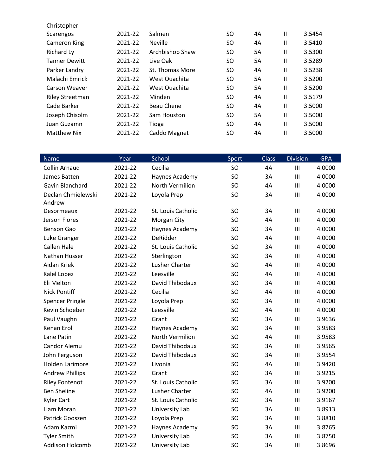| Christopher            |         |                 |    |    |               |        |
|------------------------|---------|-----------------|----|----|---------------|--------|
| Scarengos              | 2021-22 | Salmen          | SO | 4А | $\mathsf{II}$ | 3.5454 |
| <b>Cameron King</b>    | 2021-22 | <b>Neville</b>  | SO | 4А | Ш             | 3.5410 |
| Richard Ly             | 2021-22 | Archbishop Shaw | SO | 5A | Ш             | 3.5300 |
| <b>Tanner Dewitt</b>   | 2021-22 | Live Oak        | SO | 5A | Ш             | 3.5289 |
| Parker Landry          | 2021-22 | St. Thomas More | SO | 4A | Ш             | 3.5238 |
| Malachi Emrick         | 2021-22 | West Ouachita   | SO | 5A | $\mathsf{II}$ | 3.5200 |
| Carson Weaver          | 2021-22 | West Ouachita   | SO | 5A | Ш             | 3.5200 |
| <b>Riley Streetman</b> | 2021-22 | Minden          | SO | 4A | Ш             | 3.5179 |
| Cade Barker            | 2021-22 | Beau Chene      | SO | 4А | Ш             | 3.5000 |
| Joseph Chisolm         | 2021-22 | Sam Houston     | SO | 5A | Ш             | 3.5000 |
| Juan Guzamn            | 2021-22 | Tioga           | SO | 4A | Ш             | 3.5000 |
| Matthew Nix            | 2021-22 | Caddo Magnet    | SO | 4A | Ш             | 3.5000 |
|                        |         |                 |    |    |               |        |

| <b>Name</b>            | Year    | School                | Sport | <b>Class</b> | <b>Division</b>                    | <b>GPA</b> |
|------------------------|---------|-----------------------|-------|--------------|------------------------------------|------------|
| <b>Collin Arnaud</b>   | 2021-22 | Cecilia               | SO    | 4A           | III                                | 4.0000     |
| James Batten           | 2021-22 | Haynes Academy        | SO    | 3A           | III                                | 4.0000     |
| Gavin Blanchard        | 2021-22 | North Vermilion       | SO    | 4A           | $\mathbf{III}$                     | 4.0000     |
| Declan Chmielewski     | 2021-22 | Loyola Prep           | SO    | 3A           | III                                | 4.0000     |
| Andrew                 |         |                       |       |              |                                    |            |
| Desormeaux             | 2021-22 | St. Louis Catholic    | SO    | 3A           | III                                | 4.0000     |
| <b>Jerson Flores</b>   | 2021-22 | Morgan City           | SO    | 4A           | III                                | 4.0000     |
| <b>Benson Gao</b>      | 2021-22 | Haynes Academy        | SO    | 3A           | III                                | 4.0000     |
| Luke Granger           | 2021-22 | DeRidder              | SO    | 4A           | $\mathbf{III}$                     | 4.0000     |
| <b>Callen Hale</b>     | 2021-22 | St. Louis Catholic    | SO    | 3A           | III                                | 4.0000     |
| Nathan Husser          | 2021-22 | Sterlington           | SO    | 3A           | III                                | 4.0000     |
| Aidan Kriek            | 2021-22 | <b>Lusher Charter</b> | SO    | 4A           | $\mathsf{III}$                     | 4.0000     |
| Kalel Lopez            | 2021-22 | Leesville             | SO    | 4A           | III                                | 4.0000     |
| Eli Melton             | 2021-22 | David Thibodaux       | SO    | 3A           | $\mathsf{III}$                     | 4.0000     |
| <b>Nick Pontiff</b>    | 2021-22 | Cecilia               | SO    | 4A           | III                                | 4.0000     |
| <b>Spencer Pringle</b> | 2021-22 | Loyola Prep           | SO    | 3A           | III                                | 4.0000     |
| Kevin Schoeber         | 2021-22 | Leesville             | SO    | 4A           | III                                | 4.0000     |
| Paul Vaughn            | 2021-22 | Grant                 | SO    | 3A           | III                                | 3.9636     |
| Kenan Erol             | 2021-22 | Haynes Academy        | SO    | 3A           | $\ensuremath{\mathsf{III}}\xspace$ | 3.9583     |
| Lane Patin             | 2021-22 | North Vermilion       | SO    | 4A           | III                                | 3.9583     |
| <b>Candor Alemu</b>    | 2021-22 | David Thibodaux       | SO    | 3A           | $\ensuremath{\mathsf{III}}\xspace$ | 3.9565     |
| John Ferguson          | 2021-22 | David Thibodaux       | SO    | 3A           | III                                | 3.9554     |
| <b>Holden Larimore</b> | 2021-22 | Livonia               | SO    | 4A           | III                                | 3.9420     |
| <b>Andrew Phillips</b> | 2021-22 | Grant                 | SO    | 3A           | III                                | 3.9215     |
| <b>Riley Fontenot</b>  | 2021-22 | St. Louis Catholic    | SO    | 3A           | III                                | 3.9200     |
| <b>Ben Sheline</b>     | 2021-22 | Lusher Charter        | SO    | 4A           | III                                | 3.9200     |
| <b>Kyler Cart</b>      | 2021-22 | St. Louis Catholic    | SO    | 3A           | III                                | 3.9167     |
| Liam Moran             | 2021-22 | University Lab        | SO    | 3A           | $\mathsf{III}$                     | 3.8913     |
| Patrick Gooszen        | 2021-22 | Loyola Prep           | SO    | 3A           | $\mathsf{III}$                     | 3.8810     |
| Adam Kazmi             | 2021-22 | Haynes Academy        | SO    | 3A           | III                                | 3.8765     |
| <b>Tyler Smith</b>     | 2021-22 | University Lab        | SO    | 3A           | III                                | 3.8750     |
| <b>Addison Holcomb</b> | 2021-22 | University Lab        | SO    | 3A           | III                                | 3.8696     |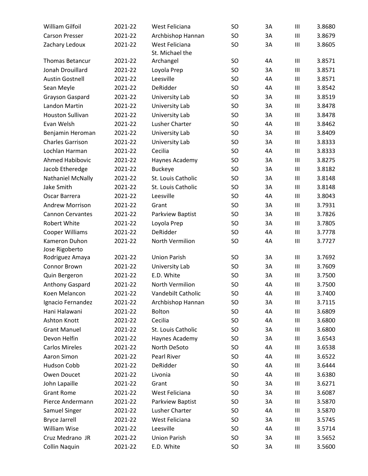| William Gilfoil         | 2021-22 | West Feliciana                    | SO        | 3A | Ш                  | 3.8680 |
|-------------------------|---------|-----------------------------------|-----------|----|--------------------|--------|
| <b>Carson Presser</b>   | 2021-22 | Archbishop Hannan                 | <b>SO</b> | 3A | III                | 3.8679 |
| Zachary Ledoux          | 2021-22 | West Feliciana<br>St. Michael the | SO        | 3A | $\mathbf{III}$     | 3.8605 |
| <b>Thomas Betancur</b>  | 2021-22 | Archangel                         | <b>SO</b> | 4A | $\mathop{\rm III}$ | 3.8571 |
| Jonah Drouillard        | 2021-22 | Loyola Prep                       | <b>SO</b> | 3A | Ш                  | 3.8571 |
| <b>Austin Gostnell</b>  | 2021-22 | Leesville                         | <b>SO</b> | 4A | $\mathop{\rm III}$ | 3.8571 |
| Sean Meyle              | 2021-22 | DeRidder                          | <b>SO</b> | 4A | $\mathbf{III}$     | 3.8542 |
| Grayson Gaspard         | 2021-22 | University Lab                    | SO        | 3A | $\mathop{\rm III}$ | 3.8519 |
| Landon Martin           | 2021-22 | University Lab                    | <b>SO</b> | 3A | $\mathbf{III}$     | 3.8478 |
| <b>Houston Sullivan</b> | 2021-22 | University Lab                    | <b>SO</b> | 3A | $\mathop{\rm III}$ | 3.8478 |
| Evan Welsh              | 2021-22 | Lusher Charter                    | <b>SO</b> | 4A | $\mathbf{III}$     | 3.8462 |
| Benjamin Heroman        | 2021-22 | University Lab                    | SO        | 3A | $\mathop{\rm III}$ | 3.8409 |
| <b>Charles Garrison</b> | 2021-22 | University Lab                    | <b>SO</b> | 3A | $\mathbf{III}$     | 3.8333 |
| Lochlan Harman          | 2021-22 | Cecilia                           | <b>SO</b> | 4A | $\mathop{\rm III}$ | 3.8333 |
| Ahmed Habibovic         | 2021-22 | Haynes Academy                    | <b>SO</b> | 3A | III                | 3.8275 |
| Jacob Etheredge         | 2021-22 | <b>Buckeye</b>                    | SO        | 3A | $\mathop{\rm III}$ | 3.8182 |
| Nathaniel McNally       | 2021-22 | St. Louis Catholic                | <b>SO</b> | 3A | $\mathbf{III}$     | 3.8148 |
| Jake Smith              | 2021-22 | St. Louis Catholic                | <b>SO</b> | 3A | $\mathop{\rm III}$ | 3.8148 |
| Oscar Barrera           | 2021-22 | Leesville                         | <b>SO</b> | 4A | III                | 3.8043 |
| <b>Andrew Morrison</b>  | 2021-22 | Grant                             | SO        | 3A | III                | 3.7931 |
| <b>Cannon Cervantes</b> | 2021-22 | Parkview Baptist                  | <b>SO</b> | 3A | $\mathbf{III}$     | 3.7826 |
| Robert White            | 2021-22 | Loyola Prep                       | <b>SO</b> | 3A | $\mathop{\rm III}$ | 3.7805 |
| Cooper Williams         | 2021-22 | DeRidder                          | <b>SO</b> | 4A | III                | 3.7778 |
| Kameron Duhon           | 2021-22 | North Vermilion                   | SO        | 4A | $\mathbf{III}$     | 3.7727 |
| Jose Rigoberto          |         |                                   |           |    |                    |        |
| Rodriguez Amaya         | 2021-22 | <b>Union Parish</b>               | <b>SO</b> | 3A | $\mathbf{III}$     | 3.7692 |
| Connor Brown            | 2021-22 | University Lab                    | <b>SO</b> | 3A | III                | 3.7609 |
| Quin Bergeron           | 2021-22 | E.D. White                        | <b>SO</b> | 3A | III                | 3.7500 |
| Anthony Gaspard         | 2021-22 | North Vermilion                   | SO        | 4A | III                | 3.7500 |
| Koen Melancon           | 2021-22 | Vandebilt Catholic                | <b>SO</b> | 4A | III                | 3.7400 |
| Ignacio Fernandez       | 2021-22 | Archbishop Hannan                 | <b>SO</b> | 3A | III                | 3.7115 |
| Hani Halawani           | 2021-22 | <b>Bolton</b>                     | <b>SO</b> | 4A | Ш                  | 3.6809 |
| Ashton Knott            | 2021-22 | Cecilia                           | <b>SO</b> | 4A | Ш                  | 3.6800 |
| <b>Grant Manuel</b>     | 2021-22 | St. Louis Catholic                | <b>SO</b> | 3A | Ш                  | 3.6800 |
| Devon Helfin            | 2021-22 | Haynes Academy                    | <b>SO</b> | 3A | Ш                  | 3.6543 |
| <b>Carlos Mireles</b>   | 2021-22 | North DeSoto                      | <b>SO</b> | 4A | Ш                  | 3.6538 |
| Aaron Simon             | 2021-22 | Pearl River                       | <b>SO</b> | 4A | Ш                  | 3.6522 |
| Hudson Cobb             | 2021-22 | DeRidder                          | <b>SO</b> | 4A | $\mathbf{III}$     | 3.6444 |
| Owen Doucet             | 2021-22 | Livonia                           | <b>SO</b> | 4A | Ш                  | 3.6380 |
| John Lapaille           | 2021-22 | Grant                             | <b>SO</b> | 3A | Ш                  | 3.6271 |
| <b>Grant Rome</b>       | 2021-22 | West Feliciana                    | <b>SO</b> | 3A | Ш                  | 3.6087 |
| Pierce Andermann        | 2021-22 | Parkview Baptist                  | <b>SO</b> | 3A | Ш                  | 3.5870 |
| Samuel Singer           | 2021-22 | Lusher Charter                    | <b>SO</b> | 4A | Ш                  | 3.5870 |
| <b>Bryce Jarrell</b>    | 2021-22 | West Feliciana                    | <b>SO</b> | 3A | Ш                  | 3.5745 |
| William Wise            | 2021-22 | Leesville                         | <b>SO</b> | 4A | Ш                  | 3.5714 |
| Cruz Medrano JR         | 2021-22 | <b>Union Parish</b>               | <b>SO</b> | 3A | $\mathbf{III}$     | 3.5652 |
| Collin Naquin           | 2021-22 | E.D. White                        | <b>SO</b> | 3A | Ш                  | 3.5600 |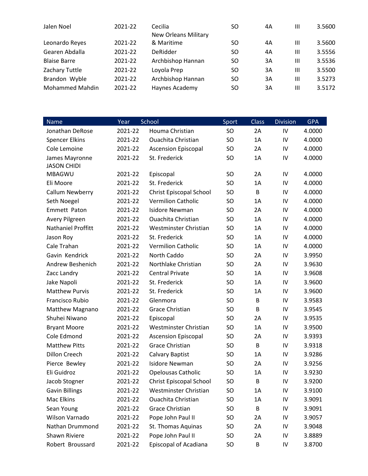| Jalen Noel             | 2021-22 | Cecilia<br>New Orleans Military | SO. | 4A | Ш | 3.5600 |
|------------------------|---------|---------------------------------|-----|----|---|--------|
| Leonardo Reyes         | 2021-22 | & Maritime                      | SO. | 4A | Ш | 3.5600 |
| Gearen Abdalla         | 2021-22 | DeRidder                        | SO. | 4A | Ш | 3.5556 |
| <b>Blaise Barre</b>    | 2021-22 | Archbishop Hannan               | SO. | 3A | Ш | 3.5536 |
| Zachary Tuttle         | 2021-22 | Loyola Prep                     | SO. | 3A | Ш | 3.5500 |
| Brandon Wyble          | 2021-22 | Archbishop Hannan               | SO. | 3A | Ш | 3.5273 |
| <b>Mohammed Mahdin</b> | 2021-22 | Haynes Academy                  | SO. | 3A | Ш | 3.5172 |

| <b>Name</b>               | Year    | School                     | Sport     | Class | <b>Division</b> | <b>GPA</b> |
|---------------------------|---------|----------------------------|-----------|-------|-----------------|------------|
| Jonathan DeRose           | 2021-22 | Houma Christian            | SO        | 2A    | IV              | 4.0000     |
| <b>Spencer Elkins</b>     | 2021-22 | <b>Ouachita Christian</b>  | SO        | 1A    | IV              | 4.0000     |
| Cole Lemoine              | 2021-22 | <b>Ascension Episcopal</b> | SO        | 2A    | IV              | 4.0000     |
| James Mayronne            | 2021-22 | St. Frederick              | <b>SO</b> | 1A    | IV              | 4.0000     |
| <b>JASON CHIDI</b>        |         |                            |           |       |                 |            |
| <b>MBAGWU</b>             | 2021-22 | Episcopal                  | SO        | 2A    | IV              | 4.0000     |
| Eli Moore                 | 2021-22 | St. Frederick              | SO        | 1A    | IV              | 4.0000     |
| Callum Newberry           | 2021-22 | Christ Episcopal School    | SO        | B     | IV              | 4.0000     |
| Seth Noegel               | 2021-22 | <b>Vermilion Catholic</b>  | SO        | 1A    | IV              | 4.0000     |
| Emmett Paton              | 2021-22 | <b>Isidore Newman</b>      | SO        | 2A    | IV              | 4.0000     |
| Avery Pilgreen            | 2021-22 | <b>Ouachita Christian</b>  | SO        | 1A    | IV              | 4.0000     |
| <b>Nathaniel Proffitt</b> | 2021-22 | Westminster Christian      | SO        | 1A    | IV              | 4.0000     |
| Jason Roy                 | 2021-22 | St. Frederick              | SO        | 1A    | IV              | 4.0000     |
| Cale Trahan               | 2021-22 | <b>Vermilion Catholic</b>  | SO        | 1A    | IV              | 4.0000     |
| Gavin Kendrick            | 2021-22 | North Caddo                | SO        | 2A    | IV              | 3.9950     |
| Andrew Beshenich          | 2021-22 | Northlake Christian        | SO        | 2A    | IV              | 3.9630     |
| Zacc Landry               | 2021-22 | <b>Central Private</b>     | <b>SO</b> | 1A    | IV              | 3.9608     |
| Jake Napoli               | 2021-22 | St. Frederick              | SO        | 1A    | IV              | 3.9600     |
| <b>Matthew Purvis</b>     | 2021-22 | St. Frederick              | SO        | 1A    | IV              | 3.9600     |
| Francisco Rubio           | 2021-22 | Glenmora                   | SO        | B     | IV              | 3.9583     |
| <b>Matthew Magnano</b>    | 2021-22 | <b>Grace Christian</b>     | SO        | B     | IV              | 3.9545     |
| Shuhei Niwano             | 2021-22 | Episcopal                  | SO        | 2A    | IV              | 3.9535     |
| <b>Bryant Moore</b>       | 2021-22 | Westminster Christian      | SO        | 1A    | IV              | 3.9500     |
| Cole Edmond               | 2021-22 | <b>Ascension Episcopal</b> | SO        | 2A    | IV              | 3.9393     |
| <b>Matthew Pitts</b>      | 2021-22 | <b>Grace Christian</b>     | SO        | B     | IV              | 3.9318     |
| <b>Dillon Creech</b>      | 2021-22 | Calvary Baptist            | SO        | 1A    | IV              | 3.9286     |
| Pierce Bewley             | 2021-22 | <b>Isidore Newman</b>      | SO        | 2A    | IV              | 3.9256     |
| Eli Guidroz               | 2021-22 | <b>Opelousas Catholic</b>  | SO        | 1A    | IV              | 3.9230     |
| Jacob Stogner             | 2021-22 | Christ Episcopal School    | SO        | B     | IV              | 3.9200     |
| <b>Gavin Billings</b>     | 2021-22 | Westminster Christian      | SO        | 1A    | ${\sf IV}$      | 3.9100     |
| Mac Elkins                | 2021-22 | <b>Ouachita Christian</b>  | SO        | 1A    | IV              | 3.9091     |
| Sean Young                | 2021-22 | Grace Christian            | SO        | B     | IV              | 3.9091     |
| Wilson Varnado            | 2021-22 | Pope John Paul II          | SO        | 2A    | IV              | 3.9057     |
| Nathan Drummond           | 2021-22 | St. Thomas Aquinas         | SO        | 2A    | IV              | 3.9048     |
| Shawn Riviere             | 2021-22 | Pope John Paul II          | SO        | 2A    | IV              | 3.8889     |
| Robert Broussard          | 2021-22 | Episcopal of Acadiana      | SO        | B     | IV              | 3.8700     |